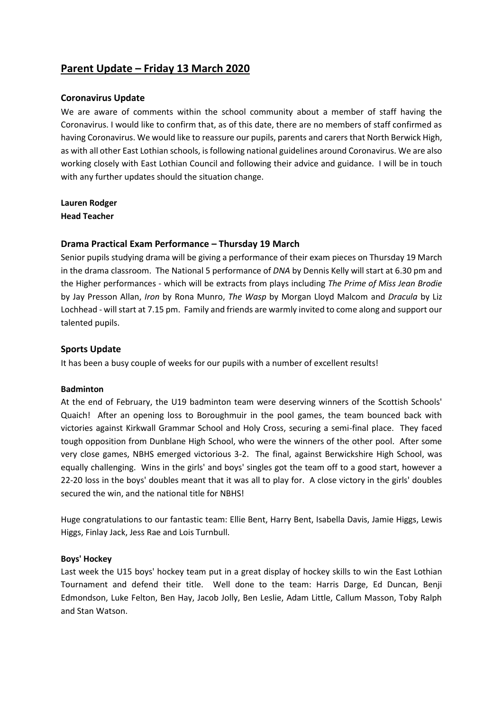# **Parent Update – Friday 13 March 2020**

### **Coronavirus Update**

We are aware of comments within the school community about a member of staff having the Coronavirus. I would like to confirm that, as of this date, there are no members of staff confirmed as having Coronavirus. We would like to reassure our pupils, parents and carers that North Berwick High, as with all other East Lothian schools, is following national guidelines around Coronavirus. We are also working closely with East Lothian Council and following their advice and guidance. I will be in touch with any further updates should the situation change.

**Lauren Rodger Head Teacher**

### **Drama Practical Exam Performance – Thursday 19 March**

Senior pupils studying drama will be giving a performance of their exam pieces on Thursday 19 March in the drama classroom. The National 5 performance of *DNA* by Dennis Kelly will start at 6.30 pm and the Higher performances - which will be extracts from plays including *The Prime of Miss Jean Brodie* by Jay Presson Allan, *Iron* by Rona Munro, *The Wasp* by Morgan Lloyd Malcom and *Dracula* by Liz Lochhead - will start at 7.15 pm. Family and friends are warmly invited to come along and support our talented pupils.

### **Sports Update**

It has been a busy couple of weeks for our pupils with a number of excellent results!

#### **Badminton**

At the end of February, the U19 badminton team were deserving winners of the Scottish Schools' Quaich! After an opening loss to Boroughmuir in the pool games, the team bounced back with victories against Kirkwall Grammar School and Holy Cross, securing a semi-final place. They faced tough opposition from Dunblane High School, who were the winners of the other pool. After some very close games, NBHS emerged victorious 3-2. The final, against Berwickshire High School, was equally challenging. Wins in the girls' and boys' singles got the team off to a good start, however a 22-20 loss in the boys' doubles meant that it was all to play for. A close victory in the girls' doubles secured the win, and the national title for NBHS!

Huge congratulations to our fantastic team: Ellie Bent, Harry Bent, Isabella Davis, Jamie Higgs, Lewis Higgs, Finlay Jack, Jess Rae and Lois Turnbull.

#### **Boys' Hockey**

Last week the U15 boys' hockey team put in a great display of hockey skills to win the East Lothian Tournament and defend their title. Well done to the team: Harris Darge, Ed Duncan, Benji Edmondson, Luke Felton, Ben Hay, Jacob Jolly, Ben Leslie, Adam Little, Callum Masson, Toby Ralph and Stan Watson.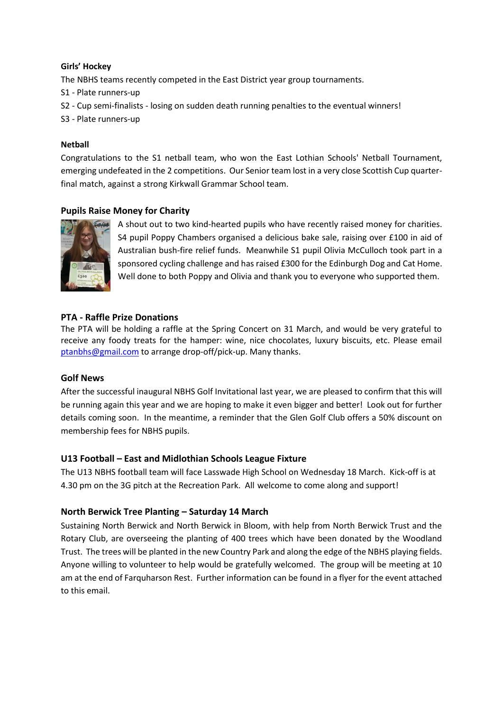#### **Girls' Hockey**

The NBHS teams recently competed in the East District year group tournaments.

- S1 Plate runners-up
- S2 Cup semi-finalists losing on sudden death running penalties to the eventual winners!

S3 - Plate runners-up

### **Netball**

Congratulations to the S1 netball team, who won the East Lothian Schools' Netball Tournament, emerging undefeated in the 2 competitions. Our Senior team lost in a very close Scottish Cup quarterfinal match, against a strong Kirkwall Grammar School team.

# **Pupils Raise Money for Charity**



A shout out to two kind-hearted pupils who have recently raised money for charities. S4 pupil Poppy Chambers organised a delicious bake sale, raising over £100 in aid of Australian bush-fire relief funds. Meanwhile S1 pupil Olivia McCulloch took part in a sponsored cycling challenge and has raised £300 for the Edinburgh Dog and Cat Home. Well done to both Poppy and Olivia and thank you to everyone who supported them.

# **PTA - Raffle Prize Donations**

The PTA will be holding a raffle at the Spring Concert on 31 March, and would be very grateful to receive any foody treats for the hamper: wine, nice chocolates, luxury biscuits, etc. Please email [ptanbhs@gmail.com](https://mail.elcschool.org.uk/owa/redir.aspx?C=hxj6WXVngcT0A7C-63tt3cixZQ0Khth4zvTT9teNwLLeTMFI38bXCA..&URL=mailto%3aptanbhs%40gmail.com) to arrange drop-off/pick-up. Many thanks.

# **Golf News**

After the successful inaugural NBHS Golf Invitational last year, we are pleased to confirm that this will be running again this year and we are hoping to make it even bigger and better! Look out for further details coming soon. In the meantime, a reminder that the Glen Golf Club offers a 50% discount on membership fees for NBHS pupils.

# **U13 Football – East and Midlothian Schools League Fixture**

The U13 NBHS football team will face Lasswade High School on Wednesday 18 March. Kick-off is at 4.30 pm on the 3G pitch at the Recreation Park. All welcome to come along and support!

# **North Berwick Tree Planting – Saturday 14 March**

Sustaining North Berwick and North Berwick in Bloom, with help from North Berwick Trust and the Rotary Club, are overseeing the planting of 400 trees which have been donated by the Woodland Trust. The trees will be planted in the new Country Park and along the edge of the NBHS playing fields. Anyone willing to volunteer to help would be gratefully welcomed. The group will be meeting at 10 am at the end of Farquharson Rest. Further information can be found in a flyer for the event attached to this email.